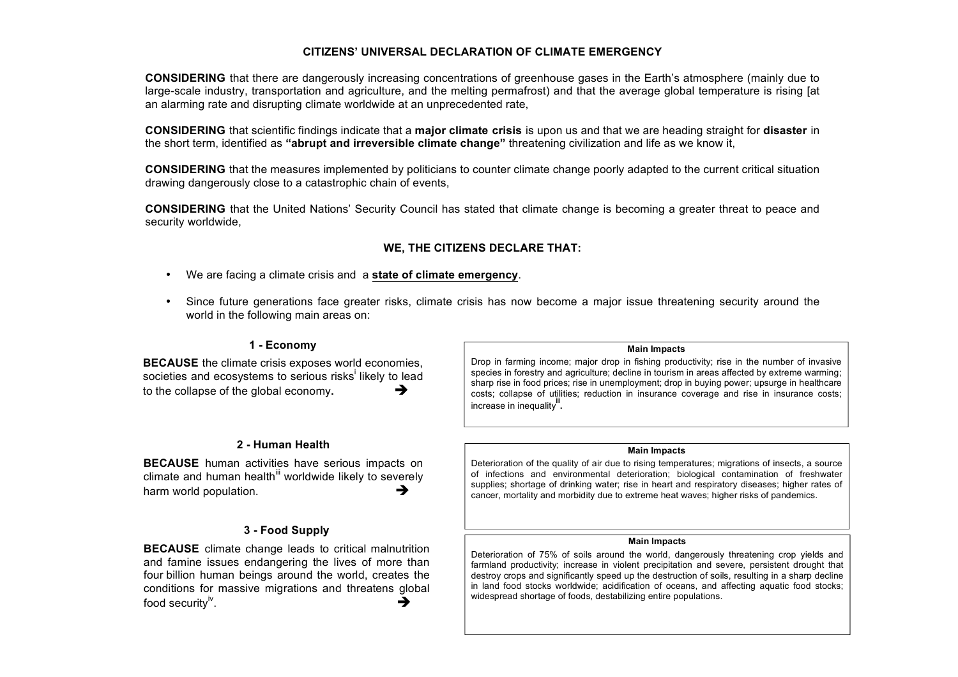# **CITIZENS' UNIVERSAL DECLARATION OF CLIMATE EMERGENCY**

**CONSIDERING** that there are dangerously increasing concentrations of greenhouse gases in the Earth's atmosphere (mainly due to large-scale industry, transportation and agriculture, and the melting permafrost) and that the average global temperature is rising [at an alarming rate and disrupting climate worldwide at an unprecedented rate,

**CONSIDERING** that scientific findings indicate that a **major climate crisis** is upon us and that we are heading straight for **disaster** in the short term, identified as **"abrupt and irreversible climate change"** threatening civilization and life as we know it,

**CONSIDERING** that the measures implemented by politicians to counter climate change poorly adapted to the current critical situation drawing dangerously close to a catastrophic chain of events,

**CONSIDERING** that the United Nations' Security Council has stated that climate change is becoming a greater threat to peace and security worldwide,

# **WE, THE CITIZENS DECLARE THAT:**

- We are facing a climate crisis and a **state of climate emergency**.
- Since future generations face greater risks, climate crisis has now become a major issue threatening security around the world in the following main areas on:

## **1 - Economy**

**BECAUSE** the climate crisis exposes world economies, societies and ecosystems to serious risks likely to lead to the collapse of the global economy.  $\rightarrow$ 

## **2 - Human Health**

**BECAUSE** human activities have serious impacts on  $climate$  and human health<sup>iii</sup> worldwide likely to severely harm world population.  $\rightarrow$ 

## **3 - Food Supply**

**BECAUSE** climate change leads to critical malnutrition and famine issues endangering the lives of more than four billion human beings around the world, creates the conditions for massive migrations and threatens global food security<sup>"</sup>. . expressed by the contract of  $\rightarrow$ 

#### **Main Impacts**

Drop in farming income; major drop in fishing productivity; rise in the number of invasive species in forestry and agriculture; decline in tourism in areas affected by extreme warming; sharp rise in food prices; rise in unemployment; drop in buying power; upsurge in healthcare costs; collapse of utilities; reduction in insurance coverage and rise in insurance costs; increase in inequality**ii .**

#### **Main Impacts**

Deterioration of the quality of air due to rising temperatures; migrations of insects, a source of infections and environmental deterioration; biological contamination of freshwater supplies; shortage of drinking water; rise in heart and respiratory diseases; higher rates of cancer, mortality and morbidity due to extreme heat waves; higher risks of pandemics.

#### **Main Impacts**

Deterioration of 75% of soils around the world, dangerously threatening crop yields and farmland productivity; increase in violent precipitation and severe, persistent drought that destroy crops and significantly speed up the destruction of soils, resulting in a sharp decline in land food stocks worldwide; acidification of oceans, and affecting aquatic food stocks; widespread shortage of foods, destabilizing entire populations.